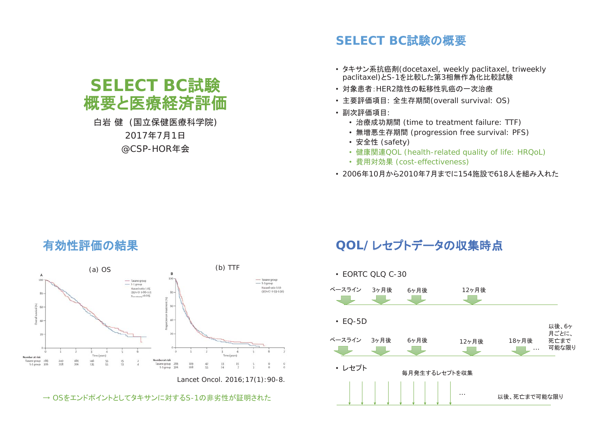# **SELECT BC試験** 概要と医療経済評価

#### 白岩健 (国立保健医療科学院) 2017年7月1日 @CSP-HOR年会

## **SELECT BC試験の概要**

- タキサン系抗癌剤(docetaxel, weekly paclitaxel, triweekly paclitaxel)とS-1を比較した第3相無作為化比較試験
- ・対象患者:HER2陰性の転移性乳癌の一次治療
- 主要評価項目:全生存期間(overall survival: OS)
- ・副次評価項目:
	- 治療成功期間 (time to treatment failure: TTF)
	- ・無増悪生存期間 (progression free survival: PFS)
	- 安全性 (safety)
	- ᗣ㛵㐃QOL (health-related quality of life: HRQoL)
	- 費用対効果 (cost-effectiveness)
- 2006年10月から2010年7月までに154施設で618人を組み入れた



→ OSをエンドポイントとしてタキサンに対するS-1の非劣性が証明された

## QOL/レセプトデータの収集時点



## 有効性評価の結果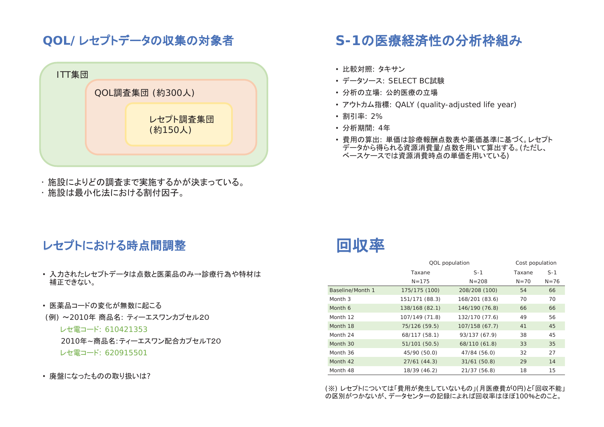## QOL/レセプトデータの収集の対象者



・施設によりどの調査まで実施するかが決まっている。

・施設は最小化法における割付因子。

## レセプトにおける時点間調整

- 入力されたレセプトデータは点数と医薬品のみ→診療行為や特材は 補正できない。
- 医薬品コードの変化が無数に起こる
- (例) ~2010年 商品名: ティーエスワンカプセル20
	- レセ雷コード: 610421353

2010年~商品名:ティーエスワン配合カプセルT20

- レセ雷コード: 620915501
- 廃盤になったものの取り扱いは?

# S-1の医療経済性の分析枠組み

- 比較対照: タキサン
- データソース: SELECT BC試験
- 分析の立場: 公的医療の立場
- アウトカム指標: QALY (quality-adjusted life year)
- 割引率: 2%
- 分析期間: 4年
- •費用の算出: 単価は診療報酬点数表や薬価基準に基づく。レセプト データから得られる資源消費量/点数を用いて算出する。(ただし、 べースケースでは資源消費時点の単価を用いている)



|                  | QOL population |                | Cost population |          |
|------------------|----------------|----------------|-----------------|----------|
|                  | Taxane         | $S-1$          | Taxane          | $S-1$    |
|                  | $N = 175$      | $N = 208$      | $N = 70$        | $N = 76$ |
| Baseline/Month 1 | 175/175 (100)  | 208/208 (100)  | 54              | 66       |
| Month 3          | 151/171 (88.3) | 168/201 (83.6) | 70              | 70       |
| Month 6          | 138/168 (82.1) | 146/190 (76.8) | 66              | 66       |
| Month 12         | 107/149 (71.8) | 132/170 (77.6) | 49              | 56       |
| Month 18         | 75/126 (59.5)  | 107/158 (67.7) | 41              | 45       |
| Month 24         | 68/117 (58.1)  | 93/137 (67.9)  | 38              | 45       |
| Month 30         | 51/101 (50.5)  | 68/110 (61.8)  | 33              | 35       |
| Month 36         | 45/90 (50.0)   | 47/84 (56.0)   | 32              | 27       |
| Month 42         | 27/61(44.3)    | 31/61(50.8)    | 29              | 14       |
| Month 48         | 18/39 (46.2)   | 21/37 (56.8)   | 18              | 15       |

(※) レセプトについては「費用が発生していないもの」(月医療費が0円)と「回収不能」 の区別がつかないが、データセンターの記録によれば回収率はほぼ100%とのこと。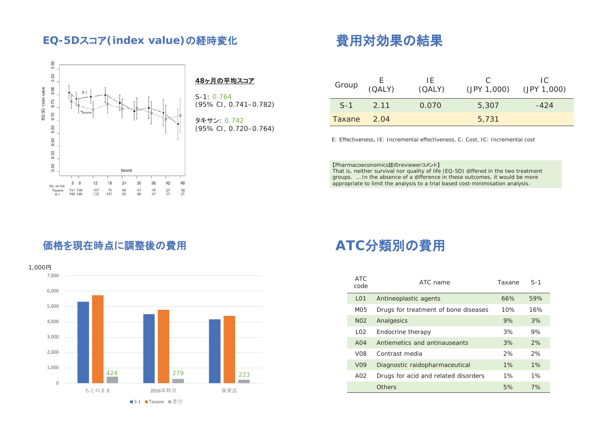#### EQ-5Dスコア(index value)の経時変化



#### <u>48ヶ月の平均スコア</u>

 $S-1: 0.764$ (95% CI, 0.741–0.782)

**タキサン: 0.742** (95% CI, 0.720–0.764)

# 費用対効果の結果

| Group  | (CALY) | IF.<br>(QALY) | (JPY 1,000) | IC.<br>(JPY 1,000) |
|--------|--------|---------------|-------------|--------------------|
| $S-1$  | 2 1 1  | 0.070         | 5,307       | -424               |
| Taxane | 2.04   |               | 5.731       |                    |

E: Effectiveness, IE: Incremental effectiveness, C: Cost, IC: Incremental cost

【Pharmacoeconomics誌のreviewerコメント】

That is, neither survival nor quality of life (EQ-5D) differed in the two treatment groups. … In the absence of a difference in these outcomes, it would be more appropriate to limit the analysis to a trial based cost-minimisation analysis.

### 価格を現在時点に調整後の費用



# ATC分類別の費用

| <b>ATC</b><br>code | ATC name                             | Taxane | $S-1$ |
|--------------------|--------------------------------------|--------|-------|
| L <sub>01</sub>    | Antineoplastic agents                | 66%    | 59%   |
| M05                | Drugs for treatment of bone diseases | 10%    | 16%   |
| N <sub>02</sub>    | Analgesics                           | 9%     | 3%    |
| LO2                | Endocrine therapy                    | 3%     | 9%    |
| A04                | Antiemetics and antinauseants        | 3%     | 2%    |
| V <sub>08</sub>    | Contrast media                       | 2%     | 2%    |
| V <sub>09</sub>    | Diagnostic raidopharmaceutical       | 1%     | 1%    |
| A02                | Drugs for acid and related disorders | 1%     | 1%    |
|                    | Others                               | 5%     | 7%    |